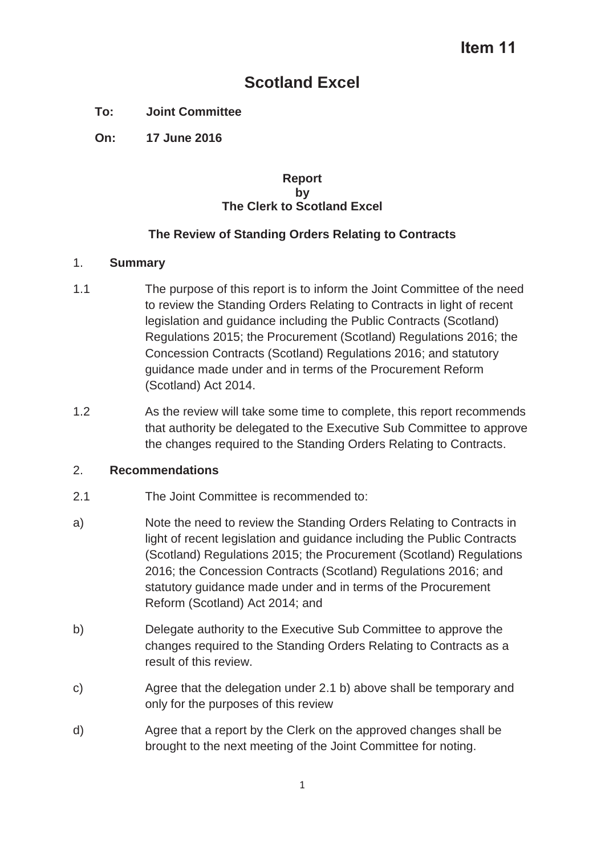# **Scotland Excel**

## **To: Joint Committee**

**On: 17 June 2016** 

### **Report by The Clerk to Scotland Excel**

## **The Review of Standing Orders Relating to Contracts**

### 1. **Summary**

- 1.1 The purpose of this report is to inform the Joint Committee of the need to review the Standing Orders Relating to Contracts in light of recent legislation and guidance including the Public Contracts (Scotland) Regulations 2015; the Procurement (Scotland) Regulations 2016; the Concession Contracts (Scotland) Regulations 2016; and statutory guidance made under and in terms of the Procurement Reform (Scotland) Act 2014.
- 1.2 As the review will take some time to complete, this report recommends that authority be delegated to the Executive Sub Committee to approve the changes required to the Standing Orders Relating to Contracts.

## 2. **Recommendations**

- 2.1 The Joint Committee is recommended to:
- a) Note the need to review the Standing Orders Relating to Contracts in light of recent legislation and guidance including the Public Contracts (Scotland) Regulations 2015; the Procurement (Scotland) Regulations 2016; the Concession Contracts (Scotland) Regulations 2016; and statutory guidance made under and in terms of the Procurement Reform (Scotland) Act 2014; and
- b) Delegate authority to the Executive Sub Committee to approve the changes required to the Standing Orders Relating to Contracts as a result of this review.
- c) Agree that the delegation under 2.1 b) above shall be temporary and only for the purposes of this review
- d) Agree that a report by the Clerk on the approved changes shall be brought to the next meeting of the Joint Committee for noting.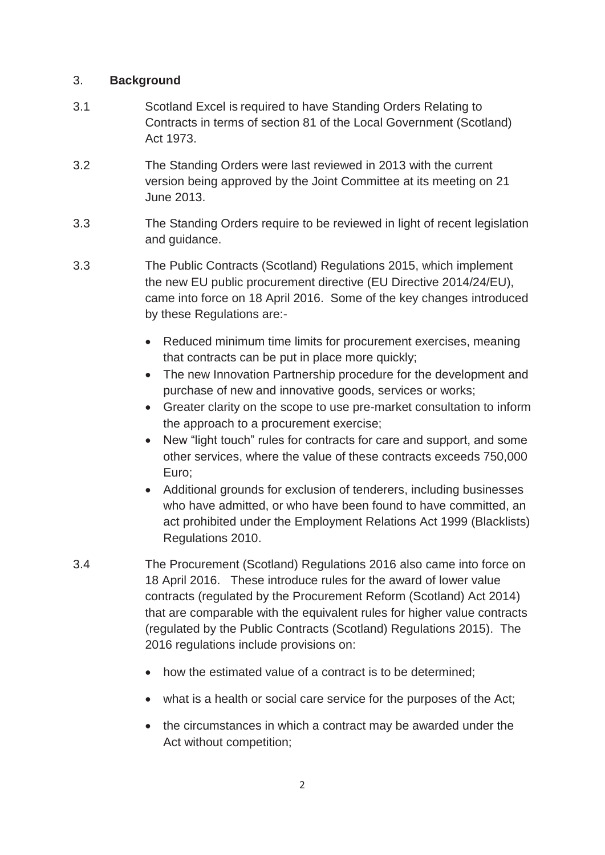## 3. **Background**

- 3.1 Scotland Excel is required to have Standing Orders Relating to Contracts in terms of section 81 of the Local Government (Scotland) Act 1973.
- 3.2 The Standing Orders were last reviewed in 2013 with the current version being approved by the Joint Committee at its meeting on 21 June 2013.
- 3.3 The Standing Orders require to be reviewed in light of recent legislation and guidance.
- 3.3 The Public Contracts (Scotland) Regulations 2015, which implement the new EU public procurement directive (EU Directive 2014/24/EU), came into force on 18 April 2016. Some of the key changes introduced by these Regulations are:-
	- Reduced minimum time limits for procurement exercises, meaning that contracts can be put in place more quickly;
	- The new Innovation Partnership procedure for the development and purchase of new and innovative goods, services or works;
	- Greater clarity on the scope to use pre-market consultation to inform the approach to a procurement exercise;
	- New "light touch" rules for contracts for care and support, and some other services, where the value of these contracts exceeds 750,000 Euro;
	- Additional grounds for exclusion of tenderers, including businesses who have admitted, or who have been found to have committed, an act prohibited under the Employment Relations Act 1999 (Blacklists) Regulations 2010.
- 3.4 The Procurement (Scotland) Regulations 2016 also came into force on 18 April 2016. These introduce rules for the award of lower value contracts (regulated by the Procurement Reform (Scotland) Act 2014) that are comparable with the equivalent rules for higher value contracts (regulated by the Public Contracts (Scotland) Regulations 2015). The 2016 regulations include provisions on:
	- how the estimated value of a contract is to be determined;
	- what is a health or social care service for the purposes of the Act;
	- the circumstances in which a contract may be awarded under the Act without competition;